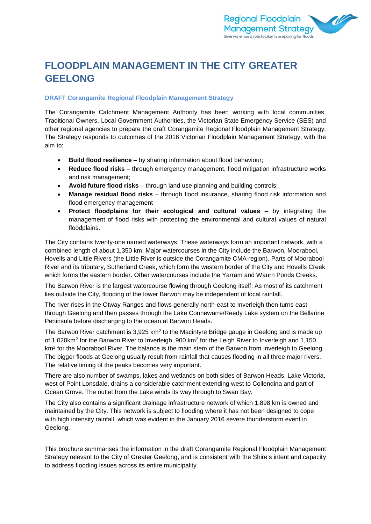

# **FLOODPLAIN MANAGEMENT IN THE CITY GREATER GEELONG**

### **DRAFT Corangamite Regional Floodplain Management Strategy**

The Corangamite Catchment Management Authority has been working with local communities, Traditional Owners, Local Government Authorities, the Victorian State Emergency Service (SES) and other regional agencies to prepare the draft Corangamite Regional Floodplain Management Strategy. The Strategy responds to outcomes of the 2016 Victorian Floodplain Management Strategy, with the aim to:

- **Build flood resilience** by sharing information about flood behaviour;
- **Reduce flood risks** through emergency management, flood mitigation infrastructure works and risk management;
- **Avoid future flood risks** through land use planning and building controls;
- **Manage residual flood risks** through flood insurance, sharing flood risk information and flood emergency management
- **Protect floodplains for their ecological and cultural values**  by integrating the management of flood risks with protecting the environmental and cultural values of natural floodplains.

The City contains twenty-one named waterways. These waterways form an important network, with a combined length of about 1,350 km. Major watercourses in the City include the Barwon, Moorabool, Hovells and Little Rivers (the Little River is outside the Corangamite CMA region). Parts of Moorabool River and its tributary, Sutherland Creek, which form the western border of the City and Hovells Creek which forms the eastern border. Other watercourses include the Yarram and Waurn Ponds Creeks.

The Barwon River is the largest watercourse flowing through Geelong itself. As most of its catchment lies outside the City, flooding of the lower Barwon may be independent of local rainfall.

The river rises in the Otway Ranges and flows generally north-east to Inverleigh then turns east through Geelong and then passes through the Lake Connewarre/Reedy Lake system on the Bellarine Peninsula before discharging to the ocean at Barwon Heads.

The Barwon River catchment is  $3,925 \text{ km}^2$  to the Macintyre Bridge gauge in Geelong and is made up of 1,020km2 for the Barwon River to Inverleigh, 900 km2 for the Leigh River to Inverleigh and 1,150 km<sup>2</sup> for the Moorabool River. The balance is the main stem of the Barwon from Inverleigh to Geelong. The bigger floods at Geelong usually result from rainfall that causes flooding in all three major rivers. The relative timing of the peaks becomes very important.

There are also number of swamps, lakes and wetlands on both sides of Barwon Heads. Lake Victoria, west of Point Lonsdale, drains a considerable catchment extending west to Collendina and part of Ocean Grove. The outlet from the Lake winds its way through to Swan Bay.

The City also contains a significant drainage infrastructure network of which 1,898 km is owned and maintained by the City. This network is subject to flooding where it has not been designed to cope with high intensity rainfall, which was evident in the January 2016 severe thunderstorm event in Geelong.

This brochure summarises the information in the draft Corangamite Regional Floodplain Management Strategy relevant to the City of Greater Geelong, and is consistent with the Shire's intent and capacity to address flooding issues across its entire municipality.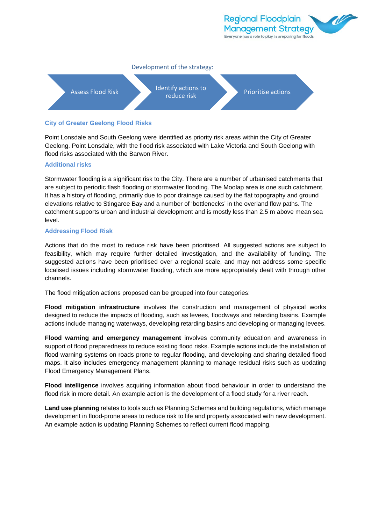

#### Development of the strategy:

Assess Flood Risk Identify actions to

Prioritise actions

#### **City of Greater Geelong Flood Risks**

Point Lonsdale and South Geelong were identified as priority risk areas within the City of Greater Geelong. Point Lonsdale, with the flood risk associated with Lake Victoria and South Geelong with flood risks associated with the Barwon River.

#### **Additional risks**

Stormwater flooding is a significant risk to the City. There are a number of urbanised catchments that are subject to periodic flash flooding or stormwater flooding. The Moolap area is one such catchment. It has a history of flooding, primarily due to poor drainage caused by the flat topography and ground elevations relative to Stingaree Bay and a number of 'bottlenecks' in the overland flow paths. The catchment supports urban and industrial development and is mostly less than 2.5 m above mean sea level.

#### **Addressing Flood Risk**

Actions that do the most to reduce risk have been prioritised. All suggested actions are subject to feasibility, which may require further detailed investigation, and the availability of funding. The suggested actions have been prioritised over a regional scale, and may not address some specific localised issues including stormwater flooding, which are more appropriately dealt with through other channels.

The flood mitigation actions proposed can be grouped into four categories:

**Flood mitigation infrastructure** involves the construction and management of physical works designed to reduce the impacts of flooding, such as levees, floodways and retarding basins. Example actions include managing waterways, developing retarding basins and developing or managing levees.

**Flood warning and emergency management** involves community education and awareness in support of flood preparedness to reduce existing flood risks. Example actions include the installation of flood warning systems on roads prone to regular flooding, and developing and sharing detailed flood maps. It also includes emergency management planning to manage residual risks such as updating Flood Emergency Management Plans.

**Flood intelligence** involves acquiring information about flood behaviour in order to understand the flood risk in more detail. An example action is the development of a flood study for a river reach.

**Land use planning** relates to tools such as Planning Schemes and building regulations, which manage development in flood-prone areas to reduce risk to life and property associated with new development. An example action is updating Planning Schemes to reflect current flood mapping.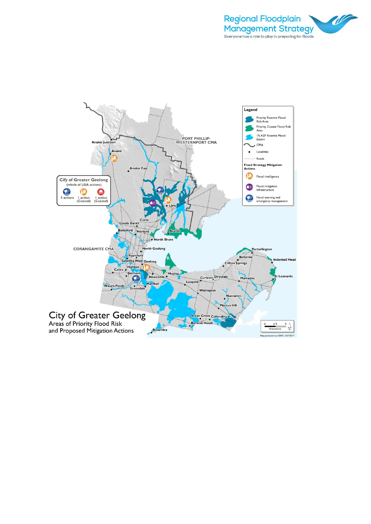